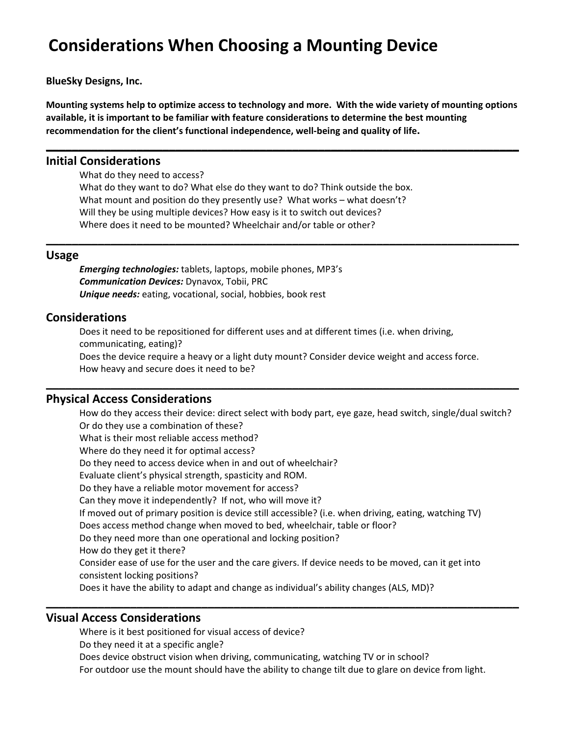# **Considerations When Choosing a Mounting Device**

**BlueSky Designs, Inc.**

Mounting systems help to optimize access to technology and more. With the wide variety of mounting options **available, it is important to be familiar with feature considerations to determine the best mounting recommendation for the client's functional independence, well‐being and quality of life.**

**\_\_\_\_\_\_\_\_\_\_\_\_\_\_\_\_\_\_\_\_\_\_\_\_\_\_\_\_\_\_\_\_\_\_\_\_\_\_\_\_\_\_\_\_\_\_\_\_\_\_\_\_\_\_\_\_\_\_\_\_\_\_\_\_\_\_\_\_\_\_\_\_\_**

**\_\_\_\_\_\_\_\_\_\_\_\_\_\_\_\_\_\_\_\_\_\_\_\_\_\_\_\_\_\_\_\_\_\_\_\_\_\_\_\_\_\_\_\_\_\_\_\_\_\_\_\_\_\_\_\_\_\_\_\_\_\_\_\_\_\_\_\_\_\_\_\_\_**

### **Initial Considerations**

What do they need to access?

What do they want to do? What else do they want to do? Think outside the box. What mount and position do they presently use? What works – what doesn't? Will they be using multiple devices? How easy is it to switch out devices? Where does it need to be mounted? Wheelchair and/or table or other?

#### **Usage**

*Emerging technologies:* tablets, laptops, mobile phones, MP3's *Communication Devices:* Dynavox, Tobii, PRC *Unique needs:* eating, vocational, social, hobbies, book rest

### **Considerations**

Does it need to be repositioned for different uses and at different times (i.e. when driving, communicating, eating)? Does the device require a heavy or a light duty mount? Consider device weight and access force. How heavy and secure does it need to be?

**\_\_\_\_\_\_\_\_\_\_\_\_\_\_\_\_\_\_\_\_\_\_\_\_\_\_\_\_\_\_\_\_\_\_\_\_\_\_\_\_\_\_\_\_\_\_\_\_\_\_\_\_\_\_\_\_\_\_\_\_\_\_\_\_\_\_\_\_\_\_\_\_\_**

### **Physical Access Considerations**

How do they access their device: direct select with body part, eye gaze, head switch, single/dual switch? Or do they use a combination of these? What is their most reliable access method? Where do they need it for optimal access? Do they need to access device when in and out of wheelchair? Evaluate client's physical strength, spasticity and ROM. Do they have a reliable motor movement for access? Can they move it independently? If not, who will move it? If moved out of primary position is device still accessible? (i.e. when driving, eating, watching TV) Does access method change when moved to bed, wheelchair, table or floor? Do they need more than one operational and locking position? How do they get it there? Consider ease of use for the user and the care givers. If device needs to be moved, can it get into consistent locking positions? Does it have the ability to adapt and change as individual's ability changes (ALS, MD)?

## **Visual Access Considerations**

Where is it best positioned for visual access of device? Do they need it at a specific angle? Does device obstruct vision when driving, communicating, watching TV or in school? For outdoor use the mount should have the ability to change tilt due to glare on device from light.

**\_\_\_\_\_\_\_\_\_\_\_\_\_\_\_\_\_\_\_\_\_\_\_\_\_\_\_\_\_\_\_\_\_\_\_\_\_\_\_\_\_\_\_\_\_\_\_\_\_\_\_\_\_\_\_\_\_\_\_\_\_\_\_\_\_\_\_\_\_\_\_\_\_**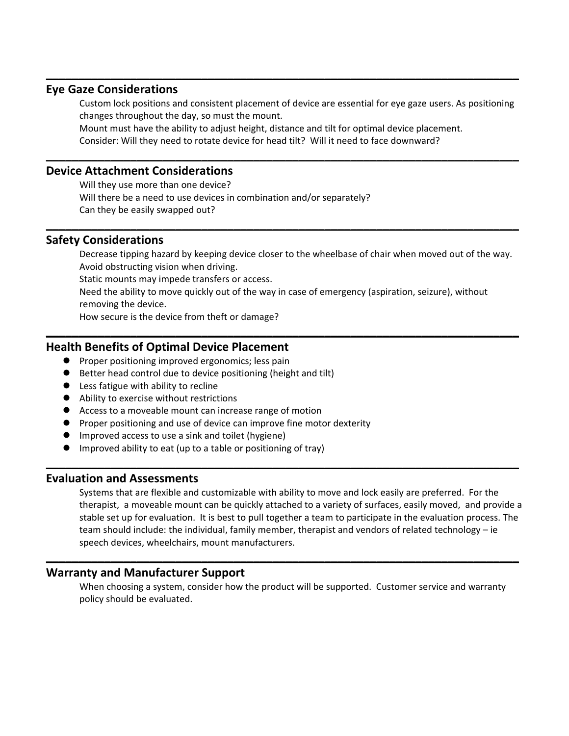## **Eye Gaze Considerations**

Custom lock positions and consistent placement of device are essential for eye gaze users. As positioning changes throughout the day, so must the mount.

**\_\_\_\_\_\_\_\_\_\_\_\_\_\_\_\_\_\_\_\_\_\_\_\_\_\_\_\_\_\_\_\_\_\_\_\_\_\_\_\_\_\_\_\_\_\_\_\_\_\_\_\_\_\_\_\_\_\_\_\_\_\_\_\_\_\_\_\_\_\_\_\_\_**

Mount must have the ability to adjust height, distance and tilt for optimal device placement. Consider: Will they need to rotate device for head tilt? Will it need to face downward?

**\_\_\_\_\_\_\_\_\_\_\_\_\_\_\_\_\_\_\_\_\_\_\_\_\_\_\_\_\_\_\_\_\_\_\_\_\_\_\_\_\_\_\_\_\_\_\_\_\_\_\_\_\_\_\_\_\_\_\_\_\_\_\_\_\_\_\_\_\_\_\_\_\_**

**\_\_\_\_\_\_\_\_\_\_\_\_\_\_\_\_\_\_\_\_\_\_\_\_\_\_\_\_\_\_\_\_\_\_\_\_\_\_\_\_\_\_\_\_\_\_\_\_\_\_\_\_\_\_\_\_\_\_\_\_\_\_\_\_\_\_\_\_\_\_\_\_\_**

## **Device Attachment Considerations**

Will they use more than one device? Will there be a need to use devices in combination and/or separately? Can they be easily swapped out?

## **Safety Considerations**

Decrease tipping hazard by keeping device closer to the wheelbase of chair when moved out of the way. Avoid obstructing vision when driving. Static mounts may impede transfers or access. Need the ability to move quickly out of the way in case of emergency (aspiration, seizure), without removing the device. How secure is the device from theft or damage?

**\_\_\_\_\_\_\_\_\_\_\_\_\_\_\_\_\_\_\_\_\_\_\_\_\_\_\_\_\_\_\_\_\_\_\_\_\_\_\_\_\_\_\_\_\_\_\_\_\_\_\_\_\_\_\_\_\_\_\_\_\_\_\_\_\_\_\_\_\_\_\_\_\_**

**\_\_\_\_\_\_\_\_\_\_\_\_\_\_\_\_\_\_\_\_\_\_\_\_\_\_\_\_\_\_\_\_\_\_\_\_\_\_\_\_\_\_\_\_\_\_\_\_\_\_\_\_\_\_\_\_\_\_\_\_\_\_\_\_\_\_\_\_\_\_\_\_\_**

## **Health Benefits of Optimal Device Placement**

- **•** Proper positioning improved ergonomics; less pain
- Better head control due to device positioning (height and tilt)
- Less fatigue with ability to recline
- Ability to exercise without restrictions
- Access to a moveable mount can increase range of motion
- **•** Proper positioning and use of device can improve fine motor dexterity
- Improved access to use a sink and toilet (hygiene)
- Improved ability to eat (up to a table or positioning of tray)

#### **Evaluation and Assessments**

Systems that are flexible and customizable with ability to move and lock easily are preferred. For the therapist, a moveable mount can be quickly attached to a variety of surfaces, easily moved, and provide a stable set up for evaluation. It is best to pull together a team to participate in the evaluation process. The team should include: the individual, family member, therapist and vendors of related technology – ie speech devices, wheelchairs, mount manufacturers.

## **Warranty and Manufacturer Support**

When choosing a system, consider how the product will be supported. Customer service and warranty policy should be evaluated.

**\_\_\_\_\_\_\_\_\_\_\_\_\_\_\_\_\_\_\_\_\_\_\_\_\_\_\_\_\_\_\_\_\_\_\_\_\_\_\_\_\_\_\_\_\_\_\_\_\_\_\_\_\_\_\_\_\_\_\_\_\_\_\_\_\_\_\_\_\_\_\_\_\_**